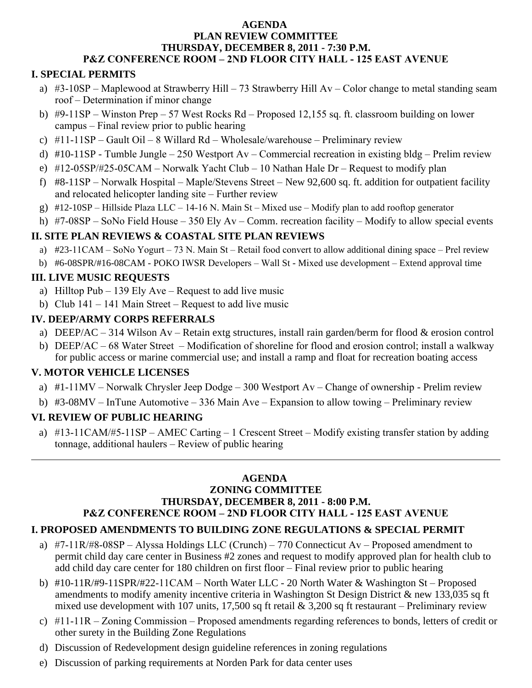#### **AGENDA PLAN REVIEW COMMITTEE THURSDAY, DECEMBER 8, 2011 - 7:30 P.M. P&Z CONFERENCE ROOM – 2ND FLOOR CITY HALL - 125 EAST AVENUE**

## **I. SPECIAL PERMITS**

- a)  $#3-10SP Maplewood$  at Strawberry Hill 73 Strawberry Hill Av Color change to metal standing seam roof – Determination if minor change
- b) #9-11SP Winston Prep 57 West Rocks Rd Proposed 12,155 sq. ft. classroom building on lower campus – Final review prior to public hearing
- c)  $#11-11SP Gault Oil 8 Willard Rd Wholesale/warehouse Preliminary review$
- d) #10-11SP Tumble Jungle 250 Westport Av Commercial recreation in existing bldg Prelim review
- e) #12-05SP/#25-05CAM Norwalk Yacht Club 10 Nathan Hale Dr Request to modify plan
- f) #8-11SP Norwalk Hospital Maple/Stevens Street New 92,600 sq. ft. addition for outpatient facility and relocated helicopter landing site – Further review
- g) #12-10SP Hillside Plaza LLC 14-16 N. Main St Mixed use Modify plan to add rooftop generator
- h) #7-08SP SoNo Field House 350 Ely Av Comm. recreation facility Modify to allow special events

#### **II. SITE PLAN REVIEWS & COASTAL SITE PLAN REVIEWS**

- a) #23-11CAM SoNo Yogurt 73 N. Main St Retail food convert to allow additional dining space Prel review
- b) #6-08SPR/#16-08CAM POKO IWSR Developers Wall St Mixed use development Extend approval time

#### **III. LIVE MUSIC REQUESTS**

- a) Hilltop Pub 139 Ely Ave Request to add live music
- b) Club  $141 141$  Main Street Request to add live music

## **IV. DEEP/ARMY CORPS REFERRALS**

- a) DEEP/AC 314 Wilson Av Retain extg structures, install rain garden/berm for flood & erosion control
- b) DEEP/AC 68 Water Street Modification of shoreline for flood and erosion control; install a walkway for public access or marine commercial use; and install a ramp and float for recreation boating access

## **V. MOTOR VEHICLE LICENSES**

- a) #1-11MV Norwalk Chrysler Jeep Dodge 300 Westport Av Change of ownership Prelim review
- b) #3-08MV InTune Automotive 336 Main Ave Expansion to allow towing Preliminary review

## **VI. REVIEW OF PUBLIC HEARING**

 $\overline{a}$ 

a)  $\#13-11$ CAM/ $\#5-11$ SP – AMEC Carting – 1 Crescent Street – Modify existing transfer station by adding tonnage, additional haulers – Review of public hearing

#### **AGENDA ZONING COMMITTEE**

# **THURSDAY, DECEMBER 8, 2011 - 8:00 P.M.**

## **P&Z CONFERENCE ROOM – 2ND FLOOR CITY HALL - 125 EAST AVENUE**

## **I. PROPOSED AMENDMENTS TO BUILDING ZONE REGULATIONS & SPECIAL PERMIT**

- a) #7-11R/#8-08SP Alyssa Holdings LLC (Crunch) 770 Connecticut Av Proposed amendment to permit child day care center in Business #2 zones and request to modify approved plan for health club to add child day care center for 180 children on first floor – Final review prior to public hearing
- b) #10-11R/#9-11SPR/#22-11CAM North Water LLC 20 North Water & Washington St Proposed amendments to modify amenity incentive criteria in Washington St Design District & new 133,035 sq ft mixed use development with 107 units, 17,500 sq ft retail & 3,200 sq ft restaurant – Preliminary review
- c) #11-11R Zoning Commission Proposed amendments regarding references to bonds, letters of credit or other surety in the Building Zone Regulations
- d) Discussion of Redevelopment design guideline references in zoning regulations
- e) Discussion of parking requirements at Norden Park for data center uses